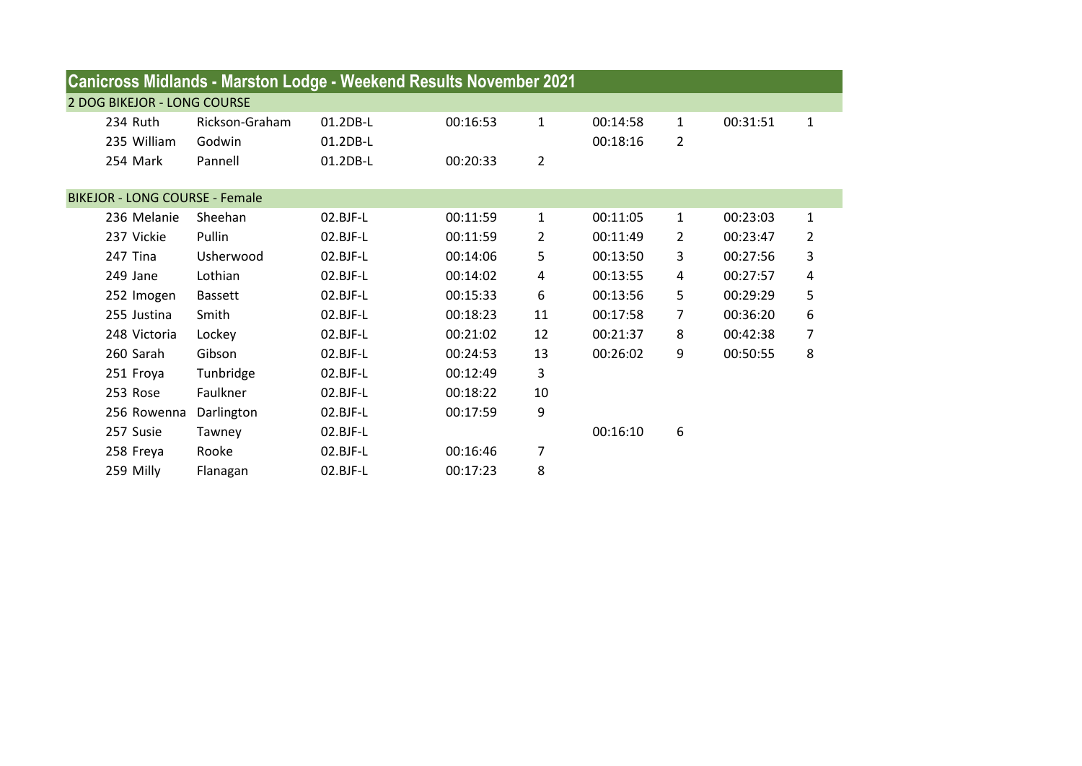| 2 DOG BIKEJOR - LONG COURSE<br>Rickson-Graham<br>01.2DB-L<br>00:31:51<br>234 Ruth<br>00:16:53<br>$\mathbf{1}$<br>00:14:58<br>$\mathbf{1}$<br>235 William<br>$\overline{2}$<br>Godwin<br>01.2DB-L<br>00:18:16 | $\mathbf{1}$   |
|--------------------------------------------------------------------------------------------------------------------------------------------------------------------------------------------------------------|----------------|
|                                                                                                                                                                                                              |                |
|                                                                                                                                                                                                              |                |
|                                                                                                                                                                                                              |                |
| $\overline{2}$<br>254 Mark<br>Pannell<br>01.2DB-L<br>00:20:33                                                                                                                                                |                |
| <b>BIKEJOR - LONG COURSE - Female</b>                                                                                                                                                                        |                |
| 236 Melanie<br>02.BJF-L                                                                                                                                                                                      |                |
| Sheehan<br>00:11:59<br>00:23:03<br>$\mathbf{1}$<br>00:11:05<br>$\mathbf{1}$                                                                                                                                  | 1              |
| 237 Vickie<br>Pullin<br>02.BJF-L<br>$\overline{2}$<br>00:11:49<br>2<br>00:23:47<br>00:11:59                                                                                                                  | $\overline{2}$ |
| 5<br>Usherwood<br>00:13:50<br>3<br>00:27:56<br>247 Tina<br>$02.BJF-L$<br>00:14:06                                                                                                                            | 3              |
| Lothian<br>02.BJF-L<br>00:13:55<br>00:27:57<br>249 Jane<br>00:14:02<br>4<br>4                                                                                                                                | 4              |
| 5<br>02.BJF-L<br>00:15:33<br>6<br>00:13:56<br>00:29:29<br>252 Imogen<br><b>Bassett</b>                                                                                                                       | 5              |
| 7<br>255 Justina<br>Smith<br>02.BJF-L<br>00:18:23<br>00:17:58<br>00:36:20<br>11                                                                                                                              | 6              |
| 8<br>248 Victoria<br>Lockey<br>02.BJF-L<br>00:21:02<br>12<br>00:21:37<br>00:42:38                                                                                                                            | 7              |
| 9<br>260 Sarah<br>Gibson<br>02.BJF-L<br>13<br>00:26:02<br>00:50:55<br>00:24:53                                                                                                                               | 8              |
| Tunbridge<br>3<br>251 Froya<br>$02.BJF-L$<br>00:12:49                                                                                                                                                        |                |
| Faulkner<br>253 Rose<br>02.BJF-L<br>00:18:22<br>10                                                                                                                                                           |                |
| 9<br>02.BJF-L<br>256 Rowenna<br>00:17:59<br>Darlington                                                                                                                                                       |                |
| 6<br>257 Susie<br>02.BJF-L<br>00:16:10<br>Tawney                                                                                                                                                             |                |
| 7<br>258 Freya<br>Rooke<br>02.BJF-L<br>00:16:46                                                                                                                                                              |                |
| 8<br>259 Milly<br>02.BJF-L<br>00:17:23<br>Flanagan                                                                                                                                                           |                |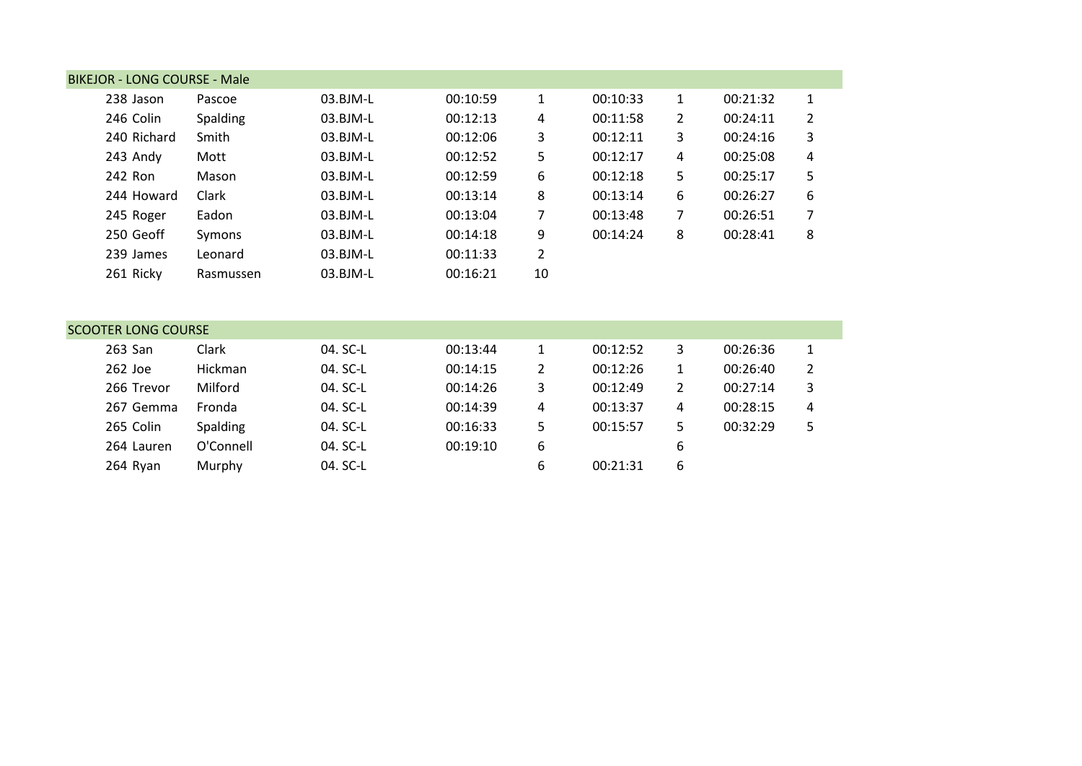| <b>BIKEJOR - LONG COURSE - Male</b> |           |            |          |                |          |              |          |   |
|-------------------------------------|-----------|------------|----------|----------------|----------|--------------|----------|---|
| 238 Jason                           | Pascoe    | $03.BJM-L$ | 00:10:59 | 1              | 00:10:33 | $\mathbf{1}$ | 00:21:32 | 1 |
| 246 Colin                           | Spalding  | $03.BJM-L$ | 00:12:13 | 4              | 00:11:58 | 2            | 00:24:11 | 2 |
| 240 Richard                         | Smith     | 03.BJM-L   | 00:12:06 | 3              | 00:12:11 | 3            | 00:24:16 | 3 |
| 243 Andy                            | Mott      | 03.BJM-L   | 00:12:52 | 5              | 00:12:17 | 4            | 00:25:08 | 4 |
| 242 Ron                             | Mason     | 03.BJM-L   | 00:12:59 | 6              | 00:12:18 | 5.           | 00:25:17 | 5 |
| 244 Howard                          | Clark     | 03.BJM-L   | 00:13:14 | 8              | 00:13:14 | 6            | 00:26:27 | 6 |
| 245 Roger                           | Eadon     | 03.BJM-L   | 00:13:04 | 7              | 00:13:48 | 7            | 00:26:51 | 7 |
| 250 Geoff                           | Symons    | 03.BJM-L   | 00:14:18 | 9              | 00:14:24 | 8            | 00:28:41 | 8 |
| 239 James                           | Leonard   | 03.BJM-L   | 00:11:33 | $\overline{2}$ |          |              |          |   |
| 261 Ricky                           | Rasmussen | 03.BJM-L   | 00:16:21 | 10             |          |              |          |   |

| SCOOTER LONG COURSE |                |          |          |   |          |   |          |   |
|---------------------|----------------|----------|----------|---|----------|---|----------|---|
| 263 San             | Clark          | 04. SC-L | 00:13:44 |   | 00:12:52 | 3 | 00:26:36 |   |
| 262 Joe             | <b>Hickman</b> | 04. SC-L | 00:14:15 | 2 | 00:12:26 | 1 | 00:26:40 |   |
| 266 Trevor          | Milford        | 04. SC-L | 00:14:26 | 3 | 00:12:49 |   | 00:27:14 | 3 |
| 267 Gemma           | Fronda         | 04. SC-L | 00:14:39 | 4 | 00:13:37 | 4 | 00:28:15 | 4 |
| 265 Colin           | Spalding       | 04. SC-L | 00:16:33 | 5 | 00:15:57 | 5 | 00:32:29 | 5 |
| 264 Lauren          | O'Connell      | 04. SC-L | 00:19:10 | 6 |          | 6 |          |   |
| 264 Ryan            | Murphy         | 04. SC-L |          | 6 | 00:21:31 | 6 |          |   |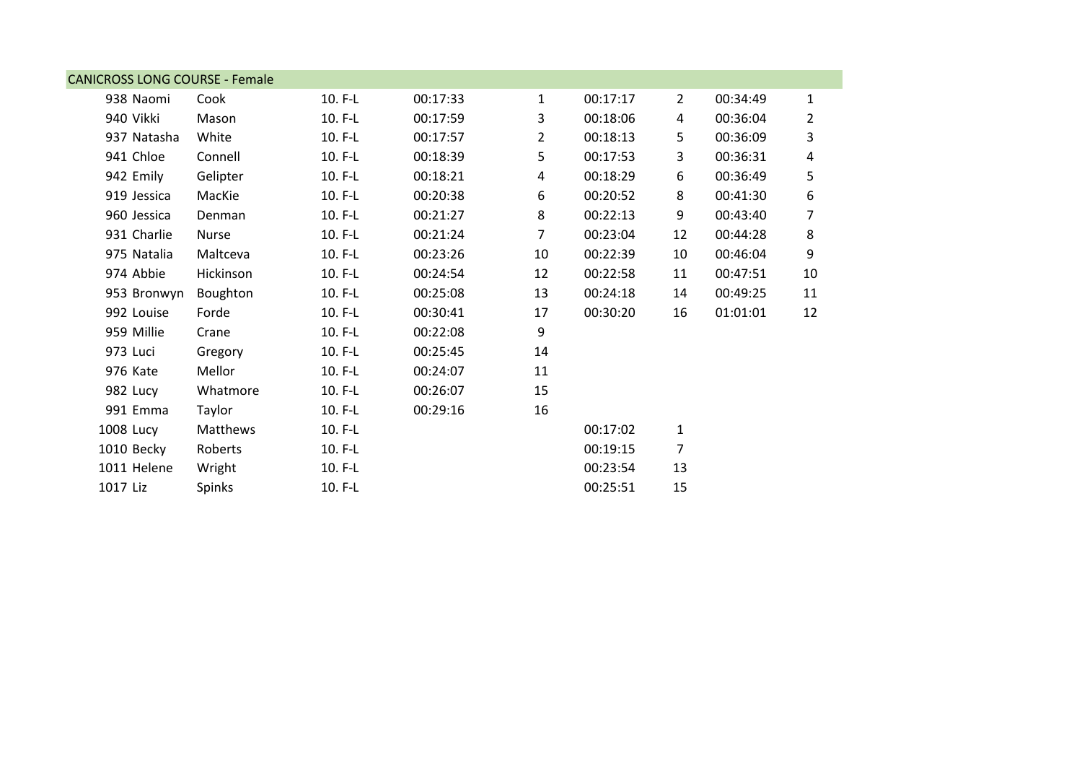| <b>CANICROSS LONG COURSE - Female</b> |              |         |          |                |          |                |          |                |
|---------------------------------------|--------------|---------|----------|----------------|----------|----------------|----------|----------------|
| 938 Naomi                             | Cook         | 10. F-L | 00:17:33 | 1              | 00:17:17 | $2^{\circ}$    | 00:34:49 | $\mathbf{1}$   |
| 940 Vikki                             | Mason        | 10. F-L | 00:17:59 | 3              | 00:18:06 | 4              | 00:36:04 | $\overline{2}$ |
| 937 Natasha                           | White        | 10. F-L | 00:17:57 | $\overline{2}$ | 00:18:13 | 5              | 00:36:09 | 3              |
| 941 Chloe                             | Connell      | 10. F-L | 00:18:39 | 5              | 00:17:53 | 3              | 00:36:31 | 4              |
| 942 Emily                             | Gelipter     | 10. F-L | 00:18:21 | 4              | 00:18:29 | 6              | 00:36:49 | 5              |
| 919 Jessica                           | MacKie       | 10. F-L | 00:20:38 | 6              | 00:20:52 | 8              | 00:41:30 | 6              |
| 960 Jessica                           | Denman       | 10. F-L | 00:21:27 | 8              | 00:22:13 | 9              | 00:43:40 | 7              |
| 931 Charlie                           | <b>Nurse</b> | 10. F-L | 00:21:24 | $\overline{7}$ | 00:23:04 | 12             | 00:44:28 | 8              |
| 975 Natalia                           | Maltceva     | 10. F-L | 00:23:26 | 10             | 00:22:39 | 10             | 00:46:04 | 9              |
| 974 Abbie                             | Hickinson    | 10. F-L | 00:24:54 | 12             | 00:22:58 | 11             | 00:47:51 | 10             |
| 953 Bronwyn                           | Boughton     | 10. F-L | 00:25:08 | 13             | 00:24:18 | 14             | 00:49:25 | 11             |
| 992 Louise                            | Forde        | 10. F-L | 00:30:41 | 17             | 00:30:20 | 16             | 01:01:01 | 12             |
| 959 Millie                            | Crane        | 10. F-L | 00:22:08 | 9              |          |                |          |                |
| 973 Luci                              | Gregory      | 10. F-L | 00:25:45 | 14             |          |                |          |                |
| 976 Kate                              | Mellor       | 10. F-L | 00:24:07 | 11             |          |                |          |                |
| 982 Lucy                              | Whatmore     | 10. F-L | 00:26:07 | 15             |          |                |          |                |
| 991 Emma                              | Taylor       | 10. F-L | 00:29:16 | 16             |          |                |          |                |
| 1008 Lucy                             | Matthews     | 10. F-L |          |                | 00:17:02 | $\mathbf{1}$   |          |                |
| 1010 Becky                            | Roberts      | 10. F-L |          |                | 00:19:15 | $\overline{7}$ |          |                |
| 1011 Helene                           | Wright       | 10. F-L |          |                | 00:23:54 | 13             |          |                |
| 1017 Liz                              | Spinks       | 10. F-L |          |                | 00:25:51 | 15             |          |                |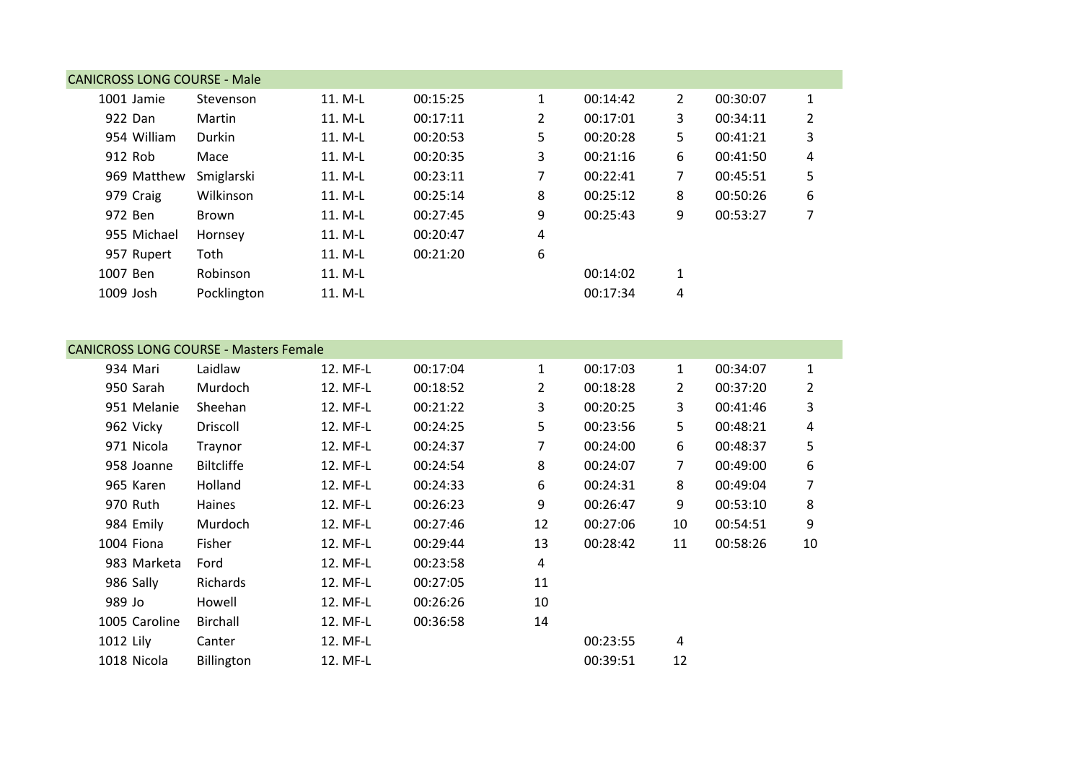| <b>CANICROSS LONG COURSE - Male</b> |                 |           |          |                |          |                |          |                |
|-------------------------------------|-----------------|-----------|----------|----------------|----------|----------------|----------|----------------|
| 1001 Jamie                          | Stevenson       | $11. M-L$ | 00:15:25 | 1              | 00:14:42 | $\overline{2}$ | 00:30:07 | $\mathbf{1}$   |
| 922 Dan                             | Martin          | $11. M-L$ | 00:17:11 | $\overline{2}$ | 00:17:01 | 3              | 00:34:11 | $\overline{2}$ |
| 954 William                         | Durkin          | 11. M-L   | 00:20:53 | 5              | 00:20:28 | 5.             | 00:41:21 | 3              |
| 912 Rob                             | Mace            | $11. M-L$ | 00:20:35 | 3              | 00:21:16 | 6              | 00:41:50 | 4              |
| 969 Matthew                         | Smiglarski      | 11. M-L   | 00:23:11 | 7              | 00:22:41 | 7              | 00:45:51 | 5              |
| 979 Craig                           | Wilkinson       | 11. M-L   | 00:25:14 | 8              | 00:25:12 | 8              | 00:50:26 | 6              |
| 972 Ben                             | <b>Brown</b>    | $11. M-L$ | 00:27:45 | 9              | 00:25:43 | 9              | 00:53:27 | 7              |
| 955 Michael                         | Hornsey         | 11. M-L   | 00:20:47 | 4              |          |                |          |                |
| 957 Rupert                          | Toth            | $11. M-L$ | 00:21:20 | 6              |          |                |          |                |
| 1007 Ben                            | <b>Robinson</b> | $11. M-L$ |          |                | 00:14:02 | 1              |          |                |
| 1009 Josh                           | Pocklington     | $11. M-L$ |          |                | 00:17:34 | 4              |          |                |

|               | <b>CANICROSS LONG COURSE - Masters Female</b> |          |          |              |          |                |          |                |
|---------------|-----------------------------------------------|----------|----------|--------------|----------|----------------|----------|----------------|
| 934 Mari      | Laidlaw                                       | 12. MF-L | 00:17:04 | $\mathbf{1}$ | 00:17:03 | $\mathbf{1}$   | 00:34:07 | $\mathbf{1}$   |
| 950 Sarah     | Murdoch                                       | 12. MF-L | 00:18:52 | 2            | 00:18:28 | $\overline{2}$ | 00:37:20 | $\overline{2}$ |
| 951 Melanie   | Sheehan                                       | 12. MF-L | 00:21:22 | 3            | 00:20:25 | 3              | 00:41:46 | 3              |
| 962 Vicky     | Driscoll                                      | 12. MF-L | 00:24:25 | 5            | 00:23:56 | 5              | 00:48:21 | 4              |
| 971 Nicola    | Traynor                                       | 12. MF-L | 00:24:37 | 7            | 00:24:00 | 6              | 00:48:37 | 5              |
| 958 Joanne    | <b>Biltcliffe</b>                             | 12. MF-L | 00:24:54 | 8            | 00:24:07 | $\overline{7}$ | 00:49:00 | 6              |
| 965 Karen     | Holland                                       | 12. MF-L | 00:24:33 | 6            | 00:24:31 | 8              | 00:49:04 | 7              |
| 970 Ruth      | Haines                                        | 12. MF-L | 00:26:23 | 9            | 00:26:47 | 9              | 00:53:10 | 8              |
| 984 Emily     | Murdoch                                       | 12. MF-L | 00:27:46 | 12           | 00:27:06 | 10             | 00:54:51 | 9              |
| 1004 Fiona    | Fisher                                        | 12. MF-L | 00:29:44 | 13           | 00:28:42 | 11             | 00:58:26 | 10             |
| 983 Marketa   | Ford                                          | 12. MF-L | 00:23:58 | 4            |          |                |          |                |
| 986 Sally     | Richards                                      | 12. MF-L | 00:27:05 | 11           |          |                |          |                |
| 989 Jo        | Howell                                        | 12. MF-L | 00:26:26 | 10           |          |                |          |                |
| 1005 Caroline | <b>Birchall</b>                               | 12. MF-L | 00:36:58 | 14           |          |                |          |                |
| 1012 Lily     | Canter                                        | 12. MF-L |          |              | 00:23:55 | 4              |          |                |
| 1018 Nicola   | Billington                                    | 12. MF-L |          |              | 00:39:51 | 12             |          |                |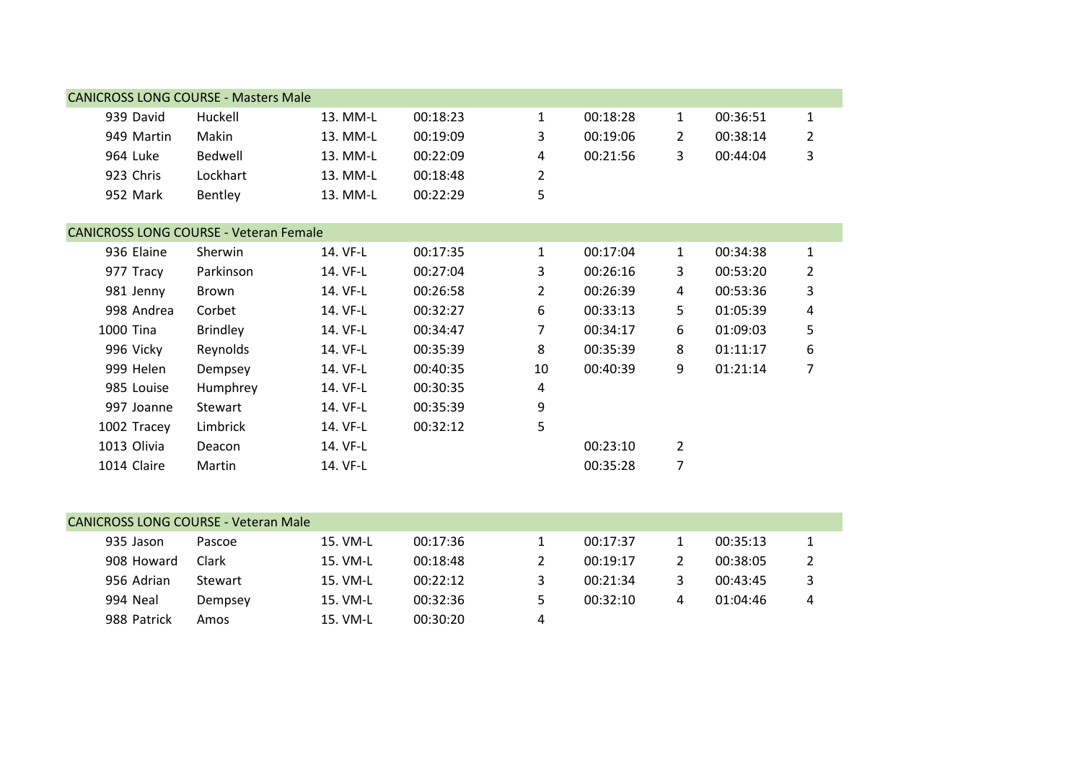| Huckell         | 13. MM-L | 00:18:23                                                                                     | $\mathbf{1}$   | 00:18:28 | $\mathbf{1}$   | 00:36:51 | $\mathbf{1}$   |
|-----------------|----------|----------------------------------------------------------------------------------------------|----------------|----------|----------------|----------|----------------|
| Makin           | 13. MM-L | 00:19:09                                                                                     | 3              | 00:19:06 | $\overline{2}$ | 00:38:14 | $\overline{2}$ |
| Bedwell         | 13. MM-L | 00:22:09                                                                                     | 4              | 00:21:56 | 3              | 00:44:04 | 3              |
| Lockhart        | 13. MM-L | 00:18:48                                                                                     | 2              |          |                |          |                |
| Bentley         | 13. MM-L | 00:22:29                                                                                     | 5              |          |                |          |                |
|                 |          |                                                                                              |                |          |                |          |                |
|                 |          |                                                                                              |                |          |                |          |                |
| <b>Sherwin</b>  | 14. VF-L | 00:17:35                                                                                     | $\mathbf{1}$   | 00:17:04 | $\mathbf{1}$   | 00:34:38 | $\mathbf{1}$   |
| Parkinson       | 14. VF-L | 00:27:04                                                                                     | 3              | 00:26:16 | 3              | 00:53:20 | $\overline{2}$ |
| Brown           | 14. VF-L | 00:26:58                                                                                     | $\overline{2}$ | 00:26:39 | 4              | 00:53:36 | 3              |
| Corbet          | 14. VF-L | 00:32:27                                                                                     | 6              | 00:33:13 | 5              | 01:05:39 | 4              |
| <b>Brindley</b> | 14. VF-L | 00:34:47                                                                                     | 7              | 00:34:17 | 6              | 01:09:03 | 5              |
| Reynolds        | 14. VF-L | 00:35:39                                                                                     | 8              | 00:35:39 | 8              | 01:11:17 | 6              |
| Dempsey         | 14. VF-L | 00:40:35                                                                                     | 10             | 00:40:39 | 9              | 01:21:14 | 7              |
| Humphrey        | 14. VF-L | 00:30:35                                                                                     | 4              |          |                |          |                |
| Stewart         | 14. VF-L | 00:35:39                                                                                     | 9              |          |                |          |                |
| Limbrick        | 14. VF-L | 00:32:12                                                                                     | 5              |          |                |          |                |
| Deacon          | 14. VF-L |                                                                                              |                | 00:23:10 | $\overline{2}$ |          |                |
| Martin          | 14. VF-L |                                                                                              |                | 00:35:28 | 7              |          |                |
|                 |          | <b>CANICROSS LONG COURSE - Masters Male</b><br><b>CANICROSS LONG COURSE - Veteran Female</b> |                |          |                |          |                |

| <b>CANICROSS LONG COURSE - Veteran Male</b> |         |          |          |   |          |   |          |   |
|---------------------------------------------|---------|----------|----------|---|----------|---|----------|---|
| 935 Jason                                   | Pascoe  | 15. VM-L | 00:17:36 |   | 00:17:37 |   | 00:35:13 |   |
| 908 Howard                                  | Clark   | 15. VM-L | 00:18:48 |   | 00:19:17 |   | 00:38:05 |   |
| 956 Adrian                                  | Stewart | 15. VM-L | 00:22:12 |   | 00:21:34 | 3 | 00:43:45 |   |
| 994 Neal                                    | Dempsey | 15. VM-L | 00:32:36 |   | 00:32:10 | 4 | 01:04:46 | 4 |
| 988 Patrick                                 | Amos    | 15. VM-L | 00:30:20 | Д |          |   |          |   |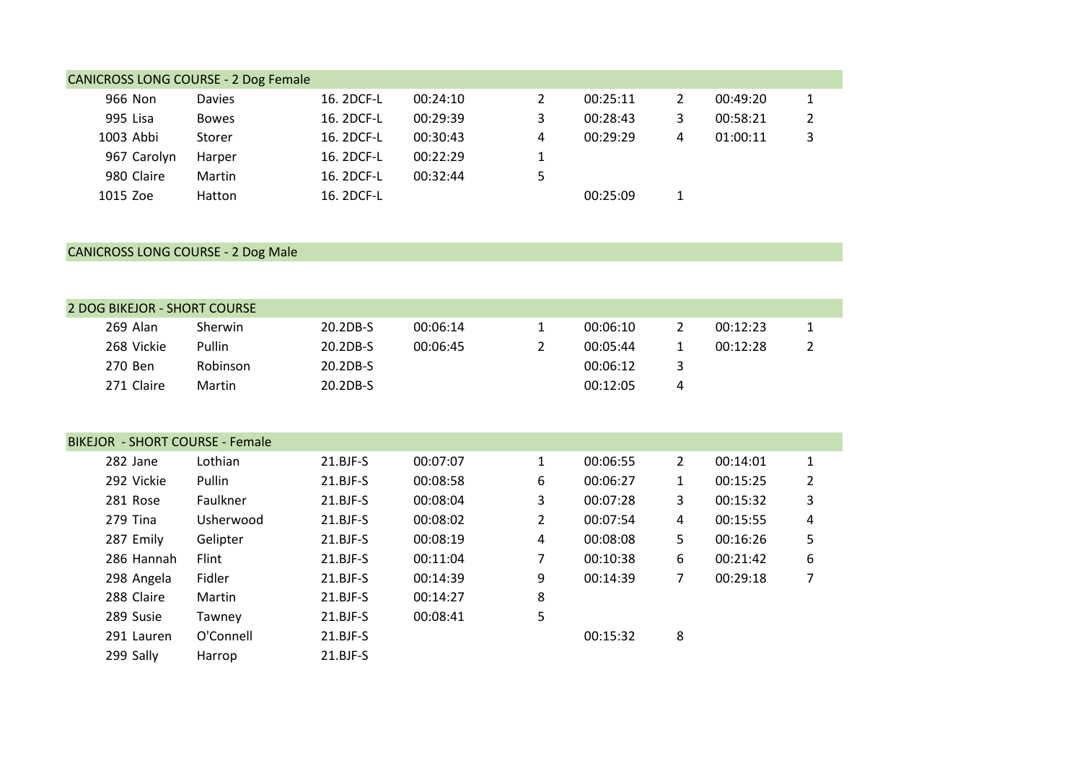| <b>CANICROSS LONG COURSE - 2 Dog Female</b> |               |            |          |   |          |   |          |   |
|---------------------------------------------|---------------|------------|----------|---|----------|---|----------|---|
| 966 Non                                     | <b>Davies</b> | 16.2DCF-L  | 00:24:10 |   | 00:25:11 |   | 00:49:20 | 1 |
| 995 Lisa                                    | <b>Bowes</b>  | 16.2DCF-L  | 00:29:39 | 3 | 00:28:43 |   | 00:58:21 | 2 |
| 1003 Abbi                                   | Storer        | 16.2DCF-L  | 00:30:43 | 4 | 00:29:29 | 4 | 01:00:11 | 3 |
| 967 Carolyn                                 | Harper        | 16.2DCF-L  | 00:22:29 |   |          |   |          |   |
| 980 Claire                                  | Martin        | 16.2DCF-L  | 00:32:44 |   |          |   |          |   |
| 1015 Zoe                                    | Hatton        | 16. 2DCF-L |          |   | 00:25:09 |   |          |   |
|                                             |               |            |          |   |          |   |          |   |

## CANICROSS LONG COURSE - 2 Dog Male

| 2 DOG BIKEJOR - SHORT COURSE |                                        |            |          |              |          |                |          |                |
|------------------------------|----------------------------------------|------------|----------|--------------|----------|----------------|----------|----------------|
| 269 Alan                     | Sherwin                                | 20.2DB-S   | 00:06:14 | $\mathbf{1}$ | 00:06:10 | $\overline{2}$ | 00:12:23 | $\mathbf{1}$   |
| 268 Vickie                   | Pullin                                 | 20.2DB-S   | 00:06:45 | 2            | 00:05:44 | $\mathbf{1}$   | 00:12:28 | $\overline{2}$ |
| 270 Ben                      | Robinson                               | 20.2DB-S   |          |              | 00:06:12 | 3              |          |                |
| 271 Claire                   | Martin                                 | 20.2DB-S   |          |              | 00:12:05 | 4              |          |                |
|                              |                                        |            |          |              |          |                |          |                |
|                              |                                        |            |          |              |          |                |          |                |
|                              | <b>BIKEJOR - SHORT COURSE - Female</b> |            |          |              |          |                |          |                |
| 282 Jane                     | Lothian                                | $21.BJF-S$ | 00:07:07 | $\mathbf{1}$ | 00:06:55 | $\overline{2}$ | 00:14:01 | $\mathbf{1}$   |
| 292 Vickie                   | Pullin                                 | $21.BJF-S$ | 00:08:58 | 6            | 00:06:27 | $\mathbf{1}$   | 00:15:25 | $\overline{2}$ |
| 281 Rose                     | Faulkner                               | $21.BJF-S$ | 00:08:04 | 3            | 00:07:28 | 3              | 00:15:32 | 3              |
| 279 Tina                     | Usherwood                              | 21.BJF-S   | 00:08:02 | 2            | 00:07:54 | 4              | 00:15:55 | 4              |
| 287 Emily                    | Gelipter                               | 21.BJF-S   | 00:08:19 | 4            | 00:08:08 | 5              | 00:16:26 | 5              |
| 286 Hannah                   | Flint                                  | 21.BJF-S   | 00:11:04 | 7            | 00:10:38 | 6              | 00:21:42 | 6              |
| 298 Angela                   | Fidler                                 | 21.BJF-S   | 00:14:39 | 9            | 00:14:39 | $\overline{7}$ | 00:29:18 | 7              |
| 288 Claire                   | Martin                                 | 21.BJF-S   | 00:14:27 | 8            |          |                |          |                |
| 289 Susie                    | Tawney                                 | 21.BJF-S   | 00:08:41 | 5            |          |                |          |                |
| 291 Lauren                   | O'Connell                              | 21.BJF-S   |          |              | 00:15:32 | 8              |          |                |
| 299 Sally                    | Harrop                                 | $21.BJF-S$ |          |              |          |                |          |                |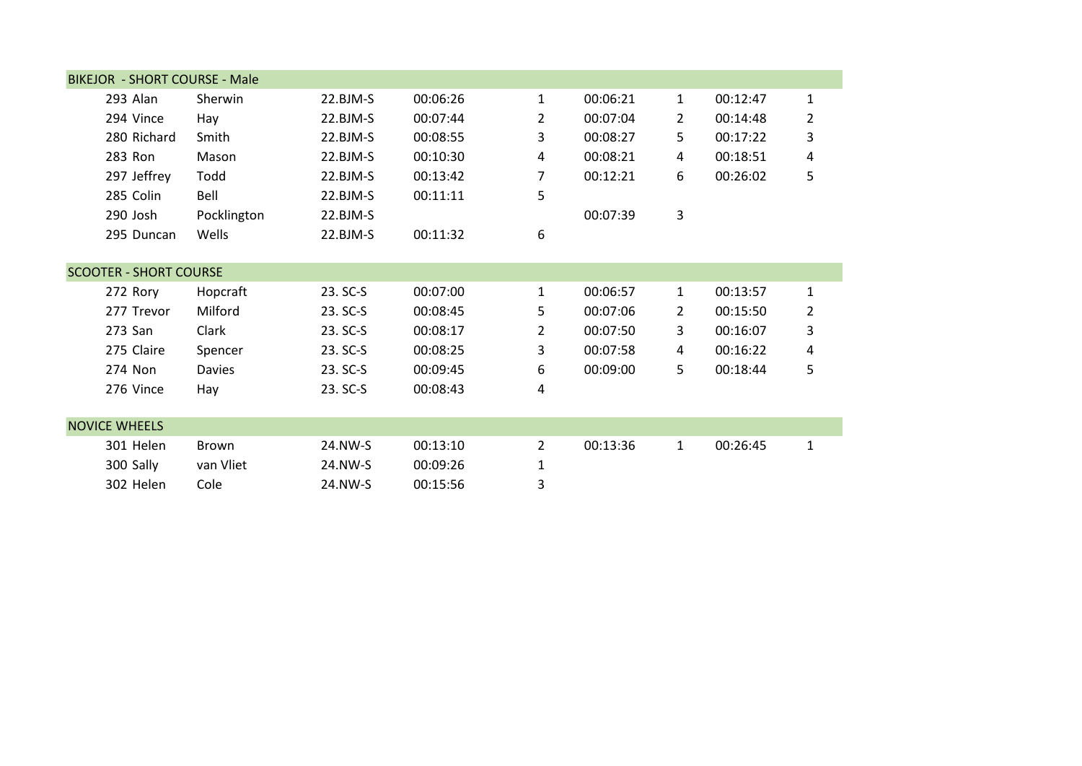| <b>BIKEJOR - SHORT COURSE - Male</b> |               |          |          |                |          |                |          |                |
|--------------------------------------|---------------|----------|----------|----------------|----------|----------------|----------|----------------|
| 293 Alan                             | Sherwin       | 22.BJM-S | 00:06:26 | $\mathbf{1}$   | 00:06:21 | $\mathbf{1}$   | 00:12:47 | $\mathbf{1}$   |
| 294 Vince                            | Hay           | 22.BJM-S | 00:07:44 | $\overline{2}$ | 00:07:04 | $\overline{2}$ | 00:14:48 | $\overline{2}$ |
| 280 Richard                          | Smith         | 22.BJM-S | 00:08:55 | 3              | 00:08:27 | 5              | 00:17:22 | 3              |
| 283 Ron                              | Mason         | 22.BJM-S | 00:10:30 | 4              | 00:08:21 | 4              | 00:18:51 | 4              |
| 297 Jeffrey                          | Todd          | 22.BJM-S | 00:13:42 | $\overline{7}$ | 00:12:21 | 6              | 00:26:02 | 5              |
| 285 Colin                            | Bell          | 22.BJM-S | 00:11:11 | 5              |          |                |          |                |
| 290 Josh                             | Pocklington   | 22.BJM-S |          |                | 00:07:39 | 3              |          |                |
| 295 Duncan                           | Wells         | 22.BJM-S | 00:11:32 | 6              |          |                |          |                |
|                                      |               |          |          |                |          |                |          |                |
| <b>SCOOTER - SHORT COURSE</b>        |               |          |          |                |          |                |          |                |
| 272 Rory                             | Hopcraft      | 23. SC-S | 00:07:00 | $\mathbf{1}$   | 00:06:57 | $\mathbf{1}$   | 00:13:57 | 1              |
| 277 Trevor                           | Milford       | 23. SC-S | 00:08:45 | 5              | 00:07:06 | $\overline{2}$ | 00:15:50 | $\overline{2}$ |
| 273 San                              | Clark         | 23. SC-S | 00:08:17 | 2              | 00:07:50 | 3              | 00:16:07 | 3              |
| 275 Claire                           | Spencer       | 23. SC-S | 00:08:25 | 3              | 00:07:58 | 4              | 00:16:22 | 4              |
| 274 Non                              | <b>Davies</b> | 23. SC-S | 00:09:45 | 6              | 00:09:00 | 5              | 00:18:44 | 5              |
| 276 Vince                            | Hay           | 23. SC-S | 00:08:43 | 4              |          |                |          |                |
|                                      |               |          |          |                |          |                |          |                |
| <b>NOVICE WHEELS</b>                 |               |          |          |                |          |                |          |                |
| 301 Helen                            | Brown         | 24.NW-S  | 00:13:10 | $\overline{2}$ | 00:13:36 | $\mathbf{1}$   | 00:26:45 | $\mathbf{1}$   |
| 300 Sally                            | van Vliet     | 24.NW-S  | 00:09:26 | 1              |          |                |          |                |
| 302 Helen                            | Cole          | 24.NW-S  | 00:15:56 | 3              |          |                |          |                |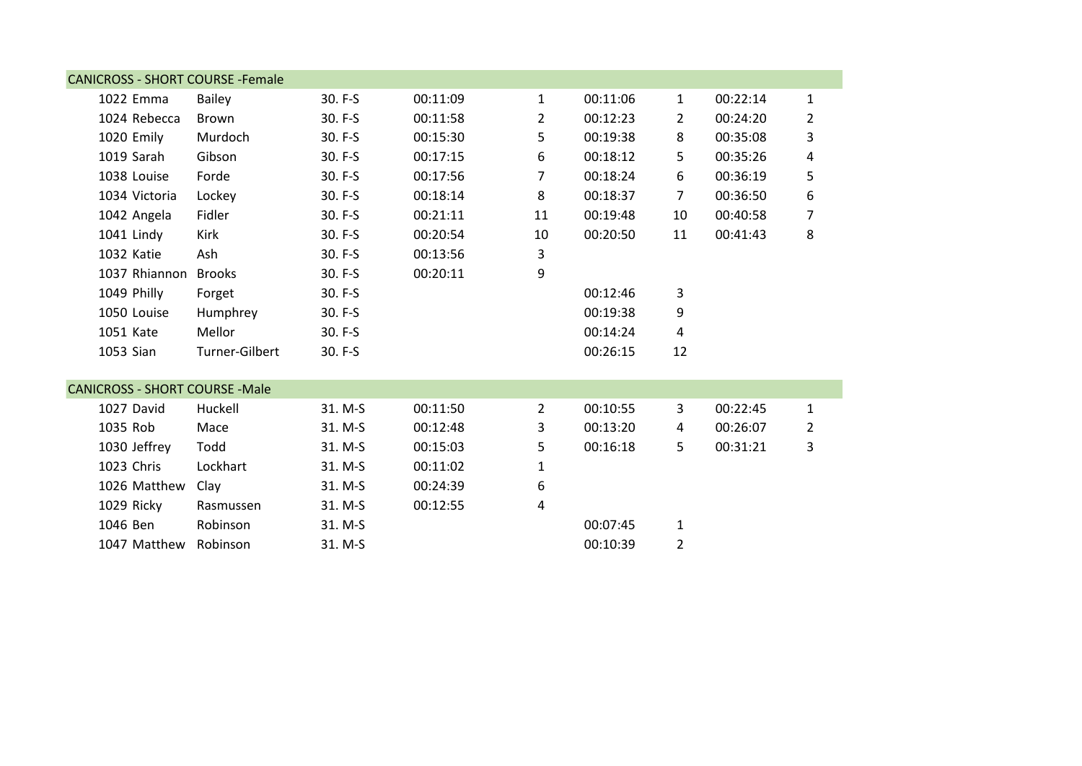| <b>CANICROSS - SHORT COURSE - Female</b> |                |         |          |                |          |                |          |                |  |  |  |  |
|------------------------------------------|----------------|---------|----------|----------------|----------|----------------|----------|----------------|--|--|--|--|
| 1022 Emma                                | Bailey         | 30. F-S | 00:11:09 | $\mathbf{1}$   | 00:11:06 | $\mathbf{1}$   | 00:22:14 | $\mathbf{1}$   |  |  |  |  |
| 1024 Rebecca                             | Brown          | 30. F-S | 00:11:58 | $\overline{2}$ | 00:12:23 | $\overline{2}$ | 00:24:20 | 2              |  |  |  |  |
| 1020 Emily                               | Murdoch        | 30. F-S | 00:15:30 | 5              | 00:19:38 | 8              | 00:35:08 | 3              |  |  |  |  |
| 1019 Sarah                               | Gibson         | 30. F-S | 00:17:15 | 6              | 00:18:12 | 5              | 00:35:26 | 4              |  |  |  |  |
| 1038 Louise                              | Forde          | 30. F-S | 00:17:56 | 7              | 00:18:24 | 6              | 00:36:19 | 5              |  |  |  |  |
| 1034 Victoria                            | Lockey         | 30. F-S | 00:18:14 | 8              | 00:18:37 | $\overline{7}$ | 00:36:50 | 6              |  |  |  |  |
| 1042 Angela                              | Fidler         | 30. F-S | 00:21:11 | 11             | 00:19:48 | 10             | 00:40:58 | 7              |  |  |  |  |
| 1041 Lindy                               | <b>Kirk</b>    | 30. F-S | 00:20:54 | 10             | 00:20:50 | 11             | 00:41:43 | 8              |  |  |  |  |
| 1032 Katie                               | Ash            | 30. F-S | 00:13:56 | 3              |          |                |          |                |  |  |  |  |
| 1037 Rhiannon Brooks                     |                | 30. F-S | 00:20:11 | 9              |          |                |          |                |  |  |  |  |
| 1049 Philly                              | Forget         | 30. F-S |          |                | 00:12:46 | 3              |          |                |  |  |  |  |
| 1050 Louise                              | Humphrey       | 30. F-S |          |                | 00:19:38 | 9              |          |                |  |  |  |  |
| 1051 Kate                                | Mellor         | 30. F-S |          |                | 00:14:24 | 4              |          |                |  |  |  |  |
| 1053 Sian                                | Turner-Gilbert | 30. F-S |          |                | 00:26:15 | 12             |          |                |  |  |  |  |
| <b>CANICROSS - SHORT COURSE - Male</b>   |                |         |          |                |          |                |          |                |  |  |  |  |
| 1027 David                               | Huckell        | 31. M-S | 00:11:50 | $\overline{2}$ | 00:10:55 | 3              | 00:22:45 | $\mathbf{1}$   |  |  |  |  |
| 1035 Rob                                 | Mace           | 31. M-S | 00:12:48 | 3              | 00:13:20 | 4              | 00:26:07 | $\overline{2}$ |  |  |  |  |
| 1030 Jeffrey                             | Todd           | 31. M-S | 00:15:03 | 5              | 00:16:18 | 5              | 00:31:21 | 3              |  |  |  |  |
| 1023 Chris                               | Lockhart       | 31. M-S | 00:11:02 | 1              |          |                |          |                |  |  |  |  |
| 1026 Matthew                             | Clay           | 31. M-S | 00:24:39 | 6              |          |                |          |                |  |  |  |  |
| 1029 Ricky                               | Rasmussen      | 31. M-S | 00:12:55 | 4              |          |                |          |                |  |  |  |  |
| 1046 Ben                                 | Robinson       | 31. M-S |          |                | 00:07:45 | $\mathbf{1}$   |          |                |  |  |  |  |
| 1047 Matthew                             | Robinson       | 31. M-S |          |                | 00:10:39 | $\overline{2}$ |          |                |  |  |  |  |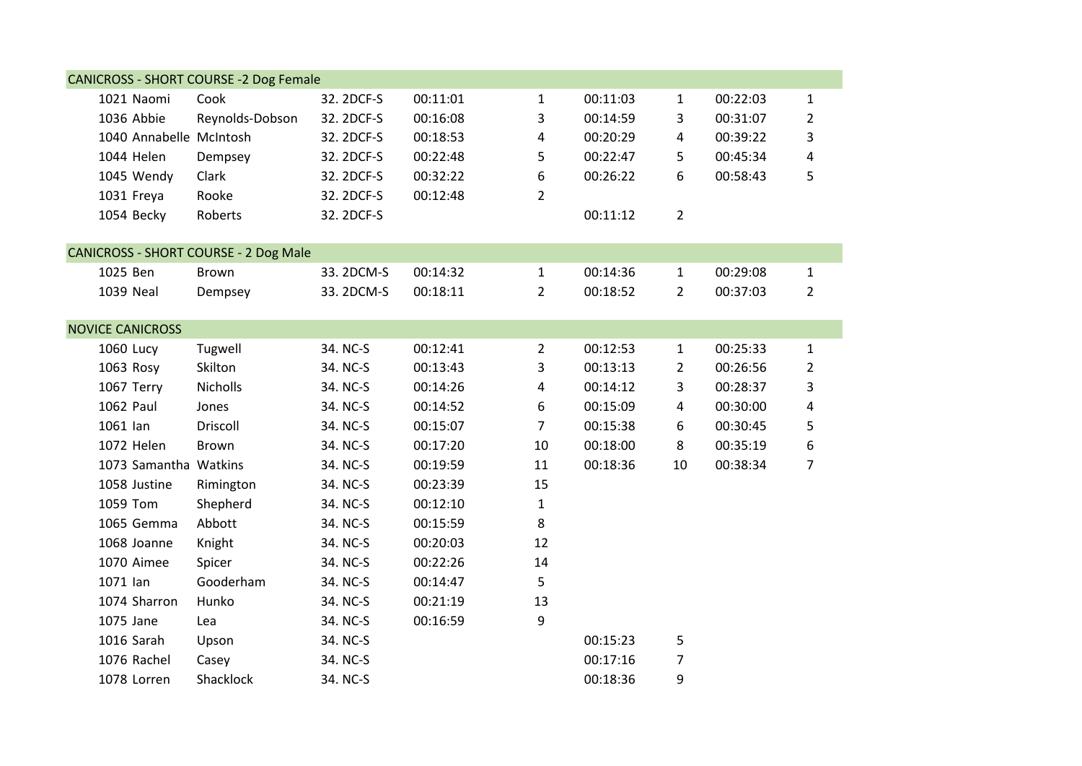| <b>CANICROSS - SHORT COURSE -2 Dog Female</b> |                 |            |          |                |          |                |          |                |  |  |
|-----------------------------------------------|-----------------|------------|----------|----------------|----------|----------------|----------|----------------|--|--|
| 1021 Naomi                                    | Cook            | 32. 2DCF-S | 00:11:01 | $\mathbf{1}$   | 00:11:03 | $\mathbf{1}$   | 00:22:03 | $\mathbf{1}$   |  |  |
| 1036 Abbie                                    | Reynolds-Dobson | 32. 2DCF-S | 00:16:08 | 3              | 00:14:59 | $\overline{3}$ | 00:31:07 | $\overline{2}$ |  |  |
| 1040 Annabelle McIntosh                       |                 | 32. 2DCF-S | 00:18:53 | 4              | 00:20:29 | $\overline{4}$ | 00:39:22 | 3              |  |  |
| 1044 Helen                                    | Dempsey         | 32.2DCF-S  | 00:22:48 | 5              | 00:22:47 | 5              | 00:45:34 | 4              |  |  |
| 1045 Wendy                                    | Clark           | 32. 2DCF-S | 00:32:22 | 6              | 00:26:22 | 6              | 00:58:43 | 5              |  |  |
| 1031 Freya                                    | Rooke           | 32. 2DCF-S | 00:12:48 | $\overline{2}$ |          |                |          |                |  |  |
| 1054 Becky                                    | Roberts         | 32. 2DCF-S |          |                | 00:11:12 | $\overline{2}$ |          |                |  |  |
|                                               |                 |            |          |                |          |                |          |                |  |  |
| <b>CANICROSS - SHORT COURSE - 2 Dog Male</b>  |                 |            |          |                |          |                |          |                |  |  |
| 1025 Ben                                      | Brown           | 33. 2DCM-S | 00:14:32 | $\mathbf{1}$   | 00:14:36 | $\mathbf{1}$   | 00:29:08 | $\mathbf{1}$   |  |  |
| 1039 Neal                                     | Dempsey         | 33. 2DCM-S | 00:18:11 | $\overline{2}$ | 00:18:52 | $\overline{2}$ | 00:37:03 | $\overline{2}$ |  |  |
|                                               |                 |            |          |                |          |                |          |                |  |  |
| <b>NOVICE CANICROSS</b>                       |                 |            |          |                |          |                |          |                |  |  |
| 1060 Lucy                                     | Tugwell         | 34. NC-S   | 00:12:41 | $\overline{2}$ | 00:12:53 | $\mathbf{1}$   | 00:25:33 | $\mathbf 1$    |  |  |
| 1063 Rosy                                     | Skilton         | 34. NC-S   | 00:13:43 | 3              | 00:13:13 | $\overline{2}$ | 00:26:56 | $\overline{2}$ |  |  |
| 1067 Terry                                    | <b>Nicholls</b> | 34. NC-S   | 00:14:26 | 4              | 00:14:12 | $\overline{3}$ | 00:28:37 | 3              |  |  |
| 1062 Paul                                     | Jones           | 34. NC-S   | 00:14:52 | 6              | 00:15:09 | $\overline{a}$ | 00:30:00 | 4              |  |  |
| 1061 lan                                      | Driscoll        | 34. NC-S   | 00:15:07 | $\overline{7}$ | 00:15:38 | 6              | 00:30:45 | 5              |  |  |
| 1072 Helen                                    | <b>Brown</b>    | 34. NC-S   | 00:17:20 | 10             | 00:18:00 | 8              | 00:35:19 | 6              |  |  |
| 1073 Samantha Watkins                         |                 | 34. NC-S   | 00:19:59 | 11             | 00:18:36 | 10             | 00:38:34 | $\overline{7}$ |  |  |
| 1058 Justine                                  | Rimington       | 34. NC-S   | 00:23:39 | 15             |          |                |          |                |  |  |
| 1059 Tom                                      | Shepherd        | 34. NC-S   | 00:12:10 | $\mathbf{1}$   |          |                |          |                |  |  |
| 1065 Gemma                                    | Abbott          | 34. NC-S   | 00:15:59 | 8              |          |                |          |                |  |  |
| 1068 Joanne                                   | Knight          | 34. NC-S   | 00:20:03 | 12             |          |                |          |                |  |  |
| 1070 Aimee                                    | Spicer          | 34. NC-S   | 00:22:26 | 14             |          |                |          |                |  |  |
| 1071 lan                                      | Gooderham       | 34. NC-S   | 00:14:47 | 5              |          |                |          |                |  |  |
| 1074 Sharron                                  | Hunko           | 34. NC-S   | 00:21:19 | 13             |          |                |          |                |  |  |
| 1075 Jane                                     | Lea             | 34. NC-S   | 00:16:59 | 9              |          |                |          |                |  |  |
| 1016 Sarah                                    | Upson           | 34. NC-S   |          |                | 00:15:23 | 5              |          |                |  |  |
| 1076 Rachel                                   | Casey           | 34. NC-S   |          |                | 00:17:16 | $\overline{7}$ |          |                |  |  |
| 1078 Lorren                                   | Shacklock       | 34. NC-S   |          |                | 00:18:36 | 9              |          |                |  |  |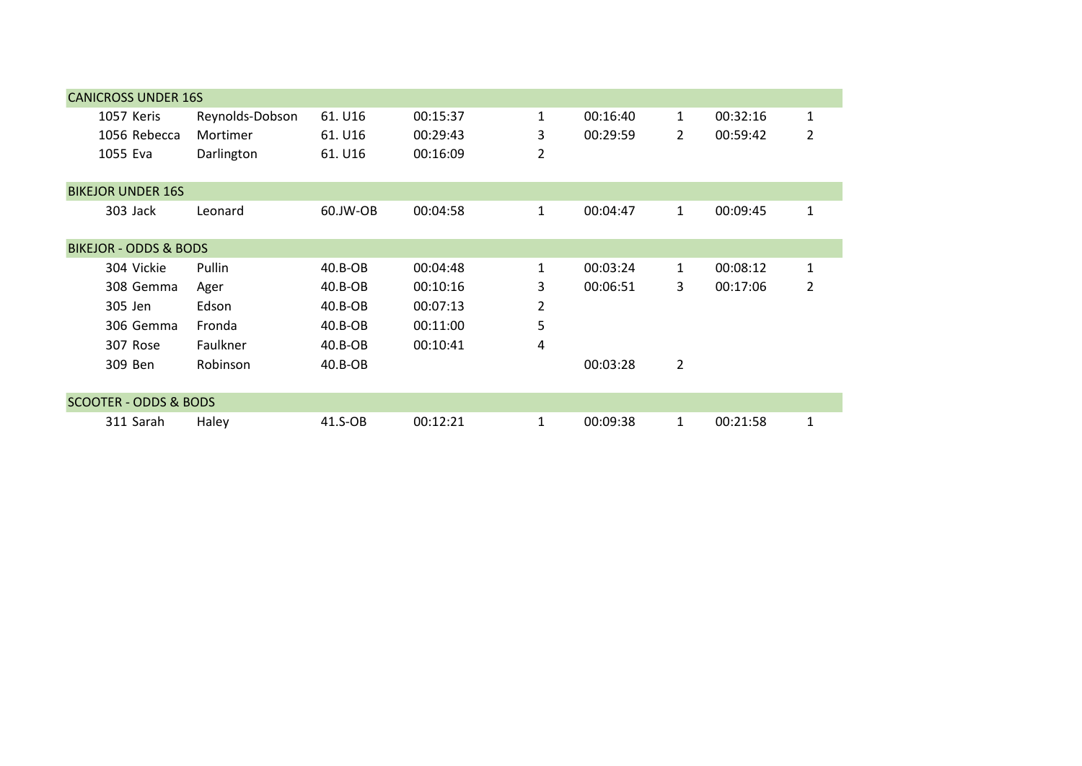| <b>CANICROSS UNDER 16S</b>       |                 |           |          |              |          |                |          |                |
|----------------------------------|-----------------|-----------|----------|--------------|----------|----------------|----------|----------------|
| 1057 Keris                       | Reynolds-Dobson | 61. U16   | 00:15:37 | 1            | 00:16:40 | $\mathbf{1}$   | 00:32:16 | $\mathbf{1}$   |
| 1056 Rebecca                     | Mortimer        | 61. U16   | 00:29:43 | 3            | 00:29:59 | $\overline{2}$ | 00:59:42 | $\overline{2}$ |
| 1055 Eva                         | Darlington      | 61. U16   | 00:16:09 | 2            |          |                |          |                |
|                                  |                 |           |          |              |          |                |          |                |
| <b>BIKEJOR UNDER 16S</b>         |                 |           |          |              |          |                |          |                |
| 303 Jack                         | Leonard         | 60.JW-OB  | 00:04:58 | $\mathbf{1}$ | 00:04:47 | $\mathbf{1}$   | 00:09:45 | $\mathbf{1}$   |
|                                  |                 |           |          |              |          |                |          |                |
| <b>BIKEJOR - ODDS &amp; BODS</b> |                 |           |          |              |          |                |          |                |
| 304 Vickie                       | Pullin          | 40.B-OB   | 00:04:48 | 1            | 00:03:24 | $\mathbf{1}$   | 00:08:12 | 1              |
| 308 Gemma                        | Ager            | 40.B-OB   | 00:10:16 | 3            | 00:06:51 | 3              | 00:17:06 | $\overline{2}$ |
| 305 Jen                          | Edson           | $40.B-OB$ | 00:07:13 | 2            |          |                |          |                |
| 306 Gemma                        | Fronda          | $40.B-OB$ | 00:11:00 | 5            |          |                |          |                |
| 307 Rose                         | Faulkner        | $40.B-OB$ | 00:10:41 | 4            |          |                |          |                |
| 309 Ben                          | Robinson        | $40.B-OB$ |          |              | 00:03:28 | $\overline{2}$ |          |                |
|                                  |                 |           |          |              |          |                |          |                |
| <b>SCOOTER - ODDS &amp; BODS</b> |                 |           |          |              |          |                |          |                |
| 311 Sarah                        | Haley           | 41.S-OB   | 00:12:21 | 1            | 00:09:38 | $\mathbf{1}$   | 00:21:58 | 1              |